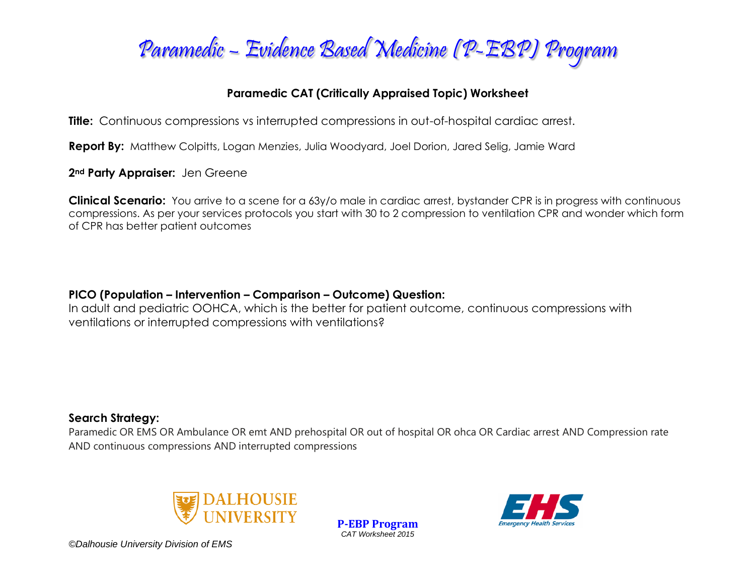

# **Paramedic CAT (Critically Appraised Topic) Worksheet**

**Title:** Continuous compressions vs interrupted compressions in out-of-hospital cardiac arrest.

**Report By:** Matthew Colpitts, Logan Menzies, Julia Woodyard, Joel Dorion, Jared Selig, Jamie Ward

**2nd Party Appraiser:** Jen Greene

**Clinical Scenario:** You arrive to a scene for a 63y/o male in cardiac arrest, bystander CPR is in progress with continuous compressions. As per your services protocols you start with 30 to 2 compression to ventilation CPR and wonder which form of CPR has better patient outcomes

# **PICO (Population – Intervention – Comparison – Outcome) Question:**

In adult and pediatric OOHCA, which is the better for patient outcome, continuous compressions with ventilations or interrupted compressions with ventilations?

# **Search Strategy:**

Paramedic OR EMS OR Ambulance OR emt AND prehospital OR out of hospital OR ohca OR Cardiac arrest AND Compression rate AND continuous compressions AND interrupted compressions



**P-EBP Program** *CAT Worksheet 2015*

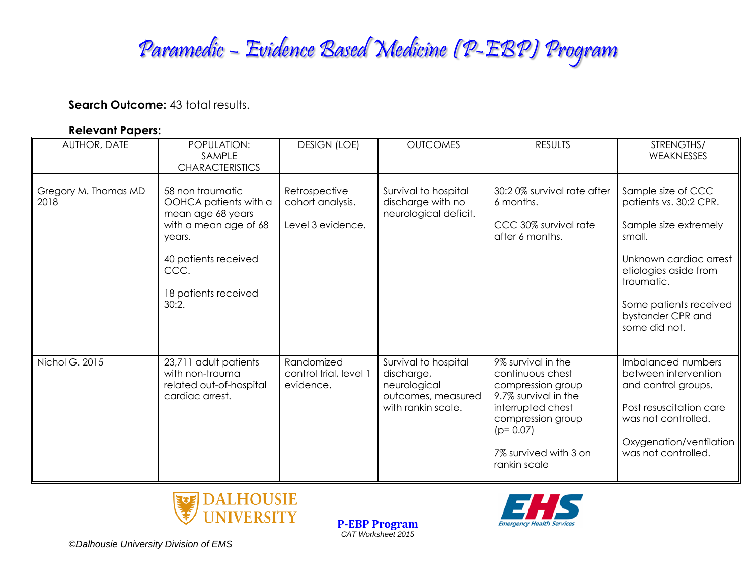# Paramedic – Evidence Based Medicine (P-EBP) Program

#### **Search Outcome: 43 total results.**

#### **Relevant Papers:**

| AUTHOR, DATE                 | POPULATION:<br>SAMPLE<br><b>CHARACTERISTICS</b>                                                                                                                    | <b>DESIGN (LOE)</b>                                    | <b>OUTCOMES</b>                                                                                | <b>RESULTS</b>                                                                                                                                                                       | STRENGTHS/<br>WEAKNESSES                                                                                                                                                                                         |
|------------------------------|--------------------------------------------------------------------------------------------------------------------------------------------------------------------|--------------------------------------------------------|------------------------------------------------------------------------------------------------|--------------------------------------------------------------------------------------------------------------------------------------------------------------------------------------|------------------------------------------------------------------------------------------------------------------------------------------------------------------------------------------------------------------|
| Gregory M. Thomas MD<br>2018 | 58 non traumatic<br>OOHCA patients with a<br>mean age 68 years<br>with a mean age of 68<br>years.<br>40 patients received<br>CCC.<br>18 patients received<br>30:2. | Retrospective<br>cohort analysis.<br>Level 3 evidence. | Survival to hospital<br>discharge with no<br>neurological deficit.                             | 30:20% survival rate after<br>6 months.<br>CCC 30% survival rate<br>after 6 months.                                                                                                  | Sample size of CCC<br>patients vs. 30:2 CPR.<br>Sample size extremely<br>small.<br>Unknown cardiac arrest<br>etiologies aside from<br>traumatic.<br>Some patients received<br>bystander CPR and<br>some did not. |
| Nichol G. 2015               | 23,711 adult patients<br>with non-trauma<br>related out-of-hospital<br>cardiac arrest.                                                                             | Randomized<br>control trial, level 1<br>evidence.      | Survival to hospital<br>discharge,<br>neurological<br>outcomes, measured<br>with rankin scale. | 9% survival in the<br>continuous chest<br>compression group<br>9.7% survival in the<br>interrupted chest<br>compression group<br>$(p=0.07)$<br>7% survived with 3 on<br>rankin scale | Imbalanced numbers<br>between intervention<br>and control groups.<br>Post resuscitation care<br>was not controlled.<br>Oxygenation/ventilation<br>was not controlled.                                            |



**P-EBP Program** *CAT Worksheet 2015*

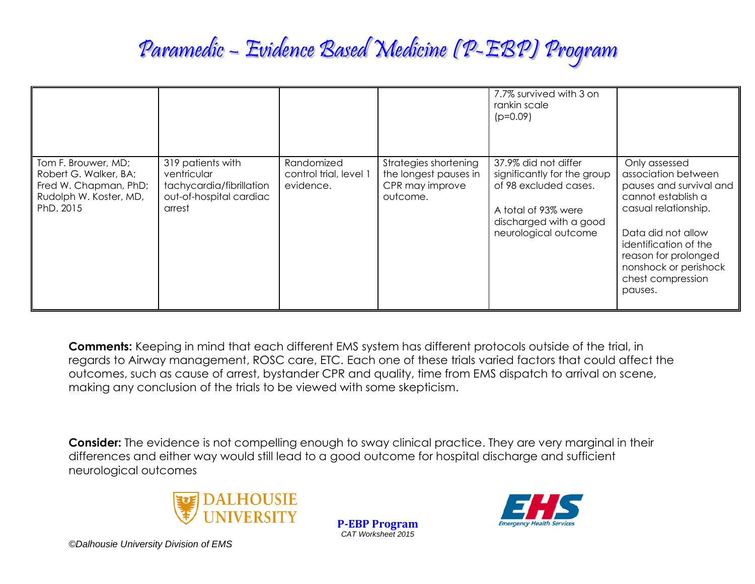# Paramedic – Evidence Based Medicine (P-EBP) Program

|                                                                                                              |                                                                                                   |                                                   |                                                                               | 7.7% survived with 3 on<br>rankin scale<br>$(p=0.09)$                                                                                                 |                                                                                                                                                                                                                                               |
|--------------------------------------------------------------------------------------------------------------|---------------------------------------------------------------------------------------------------|---------------------------------------------------|-------------------------------------------------------------------------------|-------------------------------------------------------------------------------------------------------------------------------------------------------|-----------------------------------------------------------------------------------------------------------------------------------------------------------------------------------------------------------------------------------------------|
| Tom F. Brouwer, MD;<br>Robert G. Walker, BA;<br>Fred W. Chapman, PhD;<br>Rudolph W. Koster, MD,<br>PhD. 2015 | 319 patients with<br>ventricular<br>tachycardia/fibrillation<br>out-of-hospital cardiac<br>arrest | Randomized<br>control trial, level 1<br>evidence. | Strategies shortening<br>the longest pauses in<br>CPR may improve<br>outcome. | 37.9% did not differ<br>significantly for the group<br>of 98 excluded cases.<br>A total of 93% were<br>discharged with a good<br>neurological outcome | Only assessed<br>association between<br>pauses and survival and<br>cannot establish a<br>casual relationship.<br>Data did not allow<br>identification of the<br>reason for prolonged<br>nonshock or perishock<br>chest compression<br>pauses. |

**Comments:** Keeping in mind that each different EMS system has different protocols outside of the trial, in regards to Airway management, ROSC care, ETC. Each one of these trials varied factors that could affect the outcomes, such as cause of arrest, bystander CPR and quality, time from EMS dispatch to arrival on scene, making any conclusion of the trials to be viewed with some skepticism.

**Consider:** The evidence is not compelling enough to sway clinical practice. They are very marginal in their differences and either way would still lead to a good outcome for hospital discharge and sufficient neurological outcomes



**P-EBP Program** *CAT Worksheet 2015*